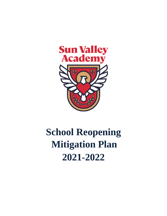

# **School Reopening Mitigation Plan 2021-2022**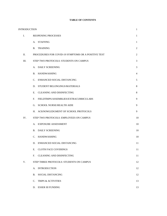|  | <b>TABLE OF CONTENTS</b> |
|--|--------------------------|
|--|--------------------------|

| INTRODUCTION<br>$\mathbf{1}$ |                                                     |              |
|------------------------------|-----------------------------------------------------|--------------|
| Ι.                           | REOPENING PROCESSES                                 | 1            |
|                              | A. STAFFING                                         | $\mathbf{1}$ |
|                              | <b>B.</b> TRAINING                                  | 2            |
| П.                           | PROCEDURES FOR COVID-19 SYMPTOMS OR A POSITIVE TEST | 2            |
| Ш.                           | STEP TWO PROTOCOLS: STUDENTS ON CAMPUS              | 3            |
|                              | A. DAILY SCREENING                                  | 3            |
|                              | <b>B. HANDWASHING</b>                               | 4            |
|                              | C. ENHANCED SOCIAL DISTANCING                       | 5            |
|                              | D. STUDENT BELONGINGS/MATERIALS                     | 8            |
|                              | E. CLEANING AND DISINFECTING                        | 8            |
|                              | FIELDTRIPS/ASSEMBLIES/EXTRACURRICULARS<br>F.        | 9            |
|                              | G. SCHOOL NURSE/HEALTH AIDE                         | 9            |
|                              | H. ACKNOWLEDGMENT OF SCHOOL PROTOCOLS               | 9            |
| IV.                          | STEP TWO PROTOCOLS: EMPLOYEES ON CAMPUS             | 10           |
|                              | A. EXPOSURE ASSESSMENT                              | 10           |
|                              | <b>B. DAILY SCREENING</b>                           | 10           |
|                              | C. HANDWASHING                                      | 10           |
|                              | D. ENHANCED SOCIAL DISTANCING                       | 11           |
|                              | E. CLOTH FACE COVERINGS                             | 11           |
|                              | $F_{\cdot}$<br><b>CLEANING AND DISINFECTING</b>     | 11           |
| V.                           | STEP THREE PROTOCOLS: STUDENTS ON CAMPUS            | 12           |
|                              | <b>INTRODUCTION</b><br>A.                           | 12           |
|                              | <b>SOCIAL DISTANCING</b><br>В.                      | 12           |
|                              | $C_{\cdot}$<br><b>TRIPS &amp; ACTIVITIES</b>        | 13           |
|                              | D. ESSER III FUNDING                                | 13           |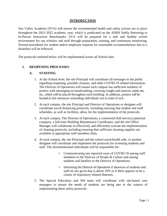### **INTRODUCTION**

Sun Valley Academy (SVA) will ensure the recommended health and safety actions are in place throughout the 2021-2022 academic year, which is predicated on the ADHS Safely Returning to In-Person Instruction Benchmarks. SVA will be prepared for a safe and healthy school environment for our scholars and staff through preparation, training, and continuous monitoring. Normal procedures for student and/or employee requests for reasonable accommodations due to a disability will be followed.

The protocols outlined below will be implemented across all School sites.

## **I. REOPENING PROCESSES**

### **A. STAFFING**

- 1. At the School level, the site Principal will coordinate all messages to the public regarding reopening, possible closures, and other COVID-19 related information. The Director of Operations will ensure each campus has sufficient numbers of posters with messaging on handwashing, covering coughs and sneezes, mask use, etc., which will be placed throughout each building. In addition, posters will be located at site entrances reminding individuals not to enter if sick.
- 2. At each campus, the site Principal and Director of Operations or designee will coordinate social distancing protocols, including ensuring that student and staff schedules, as well as facilities, allow for the implementation of the protocols.
- 3. At each campus, The Director of Operations, a contracted (full-service) janitorial company, a full-time Building Maintenance Coordinator, and the site Office Manager will collaborate to effectively and efficiently execute the implementation of cleaning protocols, including ensuring that sufficient cleaning supplies are available to appropriate staff members daily.
- 4. At each campus, the site Principal and the school nurse/health aide, or another designee will coordinate and implement the protocols for screening students and staff. The aforementioned individuals will be responsible for:
	- Communicating any reported cases of COVID-19 among staff members to the Director of People & Culture and among students and families to the Director of Operations.
	- Informing the Director of Operations if absences of students and staff on any given day is above 10% or if there appears to be a cluster of respiratory-related illnesses.
- 5. The Special Education and 504 team will coordinate with site-based case managers to ensure the needs of students are being met in the context of implementing these safety protocols.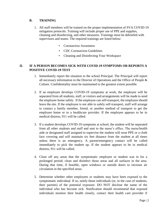# **B. TRAINING**

- 1. All staff members will be trained on the proper implementation of SVA COVID-19 mitigation protocols. Training will include proper use of PPE and supplies, cleaning and disinfecting, and other measures. Trainings must be debriefed with supervisors and teams. The required trainings are listed below:
	- Coronavirus Awareness
	- CDC Coronavirus Guidelines
	- Cleaning and Disinfecting Your Workspace

# **II. IF A PERSON BECOMES SICK WITH COVID-19 SYMPTOMS OR REPORTS A POSITIVE COVID-19 TEST**

- 1. Immediately report the situation to the school Principal. The Principal will report all necessary information to the Director of Operations and the Office of People & Culture. Confidentiality must be maintained to the greatest extent possible.
- 2. If an employee develops COVID-19 symptoms at work, the employee will be separated from all students, staff, or visitors and arrangements will be made to send the employee home safely. If the employee can self-transport, the employee should leave the site. If the employee is not able to safely self-transport, staff will arrange to contact a family member, friend, or another method of transport to get the employee home or to a healthcare provider. If the employee appears to be in medical distress, 911 will be called.
- 3. If a student develops COVID-19 symptoms at school, the student will be separated from all other students and staff and sent to the nurse's office. The nurse/health aide or designated staff assigned to supervise the student will wear PPE or a cloth face covering and will maintain six feet distance from the student at all times unless there is an emergency. A parent/emergency contact will be called immediately to pick the student up. If the student appears to be in medical distress, 911 will be called.
- 4. Close off any areas that the symptomatic employee or student was in for a prolonged period; clean and disinfect those areas and all surfaces in the area. During that time, if feasible, open windows or outside doors to increase air circulation in the specified areas.
- 5. Determine whether other employees or students may have been exposed to the symptomatic individual. If so, notify those individuals (or, in the case of students, their parents) of the potential exposure. DO NOT disclose the name of the individual who has become sick. Notification should recommend that exposed individuals monitor their health closely, contact their health care provider if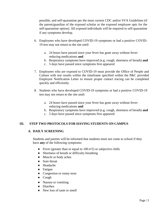possible, and self-quarantine per the most current CDC and/or SVA Guidelines (if the parent/guardian of the exposed scholar or the exposed employee opts for the self-quarantine option). All exposed individuals will be required to self-quarantine if any symptoms develop.

- 6. Employees who have developed COVID-19 symptoms or had a positive COVID-19 test may not return to the site until:
	- a. 24 hours have passed since your fever has gone away without feverreducing medications **and**
	- b. Respiratory symptoms have improved (e.g. cough, shortness of breath) **and**
	- c. 5 days have passed since symptoms first appeared
- 7. Employees who are exposed to COVID-19 must provide the Office of People and Culture with test results within the timeframe specified within the P&C provided Employee Notification Letter to ensure proper contact tracing can be completed quickly and efficiently.
- 8. Students who have developed COVID-19 symptoms or had a positive COVID-19 test may not return to the site until:
	- a. 24 hours have passed since your fever has gone away without feverreducing medications **and**
	- b. Respiratory symptoms have improved (e.g. cough, shortness of breath) **and**
	- c. 5 days have passed since symptoms first appeared

# **III. STEP TWO PROTOCOLS FOR HAVING STUDENTS ON CAMPUS**

### **A. DAILY SCREENING**

Students and parents will be informed that students must not come to school if they have **any** of the following symptoms:

- Fever (greater than or equal to  $100.4 \text{ F}$ ) or subjective chills
- Shortness of breath or difficulty breathing
- Muscle or body aches
- Sore throat
- Headache
- Fatigue
- Congestion or runny nose
- Cough
- Nausea or vomiting
- Diarrhea
- New loss of taste or smell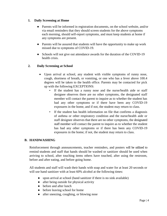## **1. Daily Screening at Home**

- Parents will be informed in registration documents, on the school website, and/or via email reminders that they should screen students for the above symptoms each morning, should self-report symptoms, and must keep students at home if any symptoms are present.
- Parents will be assured that students will have the opportunity to make up work missed due to symptoms of COVID-19.
- Schools will not give out attendance awards for the duration of the COVID-19 health crisis.

# **2. Daily Screening at School**

- Upon arrival at school, any student with visible symptoms of runny nose, cough, shortness of breath, or vomiting, or one who has a fever above 100.4 degrees will be taken to the health office. Parents may be contacted for pick up with the following EXCEPTIONS:
	- If the student has a runny nose and the nurse/health aide or staff designee observes there are no other symptoms, the designated staff member will contact the parent to inquire as to whether the student has had any other symptoms or if there have been any COVID-19 exposures in the home, and if not, the student may return to class.
	- If the student has health information on file that confirms a diagnosis of asthma or other respiratory condition and the nurse/health aide or staff designee observes that there are no other symptoms, the designated staff member will contact the parent to inquire as to whether the student has had any other symptoms or if there has been any COVID-19 exposures in the home; if not, the student may return to class.

### **B. HANDWASHING**

Reinforcement through announcements, teacher reminders, and posters will be utilized to remind students and staff that hands should be washed or sanitizer should be used when arriving to school, after touching items others have touched, after using the restroom, before and after eating, and before going home.

All students and staff will wash their hands with soap and water for at least 20 seconds or will use hand sanitizer with at least 60% alcohol at the following times:

- upon arrival at school (hand sanitizer if there is no sink available)
- after being outside for physical activity
- before and after lunch
- before leaving school for home
- after sneezing, coughing, or blowing nose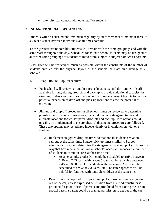• after physical contact with other staff or students

# **C. ENHANCED SOCIAL DISTANCING**

Students will be educated and reminded regularly by staff members to maintain three to six feet distance between individuals at all times possible.

To the greatest extent possible, students will remain with the same groupings and with the same staff throughout the day. Schedules for middle school students may be designed to allow the same groupings of students to move from subject to subject asmuch as possible.

Class sizes will be reduced as much as possible within the constraints of the number of students enrolled and the physical layout of the school; the class size average is 25 scholars.

# **1. Drop-Off/Pick-Up Procedures**

- Each school will review current duty procedures to expand the number of staff available for duty during drop-off and pick-up to provide additional capacity for assisting students and families. Each school will review current layouts to consider potential expansion of drop-off and pick-up locations to ease the potential of crowding.
- Pick-up and drop-off procedures at all schools must be reviewed to determine possible modifications, if necessary, that could include staggered times and alternate locations for walker/parent drop-off and pick-up. Two options could possibly be implemented to ensure physical distancing procedures are followed. These two options may be utilized independently or in conjunction with one another:
	- o Implement staggered drop-off times so that not all students arrive on campus at the same time. Stagger pick-up times similarly. School administrators should determine the staggered arrival and pick-up times in a way that best meets the individual school's needs and reduces the number of students in common areas at the same time.
		- As an example, grades K-4 could be scheduled to arrive between 7:30 and 7:45 a.m., with grades 5-8 scheduled to arrive between 7:45 and 8:00 a.m. OR students with last names A–L could be scheduled to arrive at 7:30 a.m., etc. The latter approach will be helpful for families with multiple children at the same site.
	- o Parents may be required to drop-off and pick-up students without getting out of the car, unless expressed permission from a site administrator is provided for good cause. If parents are prohibited from exiting the car, in special cases, a parent could be granted permission to get out of the car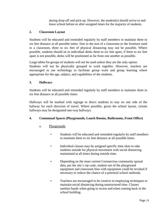during drop-off and pick-up. However, the student(s) should arrive to and leave school before or after assigned times for the majority of students.

# **2. Classroom Layout**

Students will be educated and reminded regularly by staff members to maintain three to six feet distance at all possible times. Due to the size of a classroom or the furniture used in a classroom, three to six feet of physical distancing may not be possible. Where possible, students should sit in individual desks three to six feet apart, if three to six feet apart is not possible, desks will be positioned as far from one another as possible.

Large tables for groups of students will not be used unless they are the only option.

Students will not be physically grouped to work together. However, teachers are encouraged to use technology to facilitate group work and group learning where appropriate for the age, subject, and capabilities of the students.

## **3. Hallways**

Students will be educated and reminded regularly by staff members to maintain three to six feet distance at all possible times.

Hallways will be marked with signage to direct students to stay on one side of the hallway for each direction of travel. Where possible, given the school layout, certain hallways may be designated one-way hallways.

# **4. Communal Spaces (Playgrounds, Lunch Rooms, Bathrooms, Front Office)**

# a. Playgrounds

- Students will be educated and reminded regularly by staff members to maintain three to six feet distance at all possible times.
- Individual classes may be assigned specific time slots to take students outside for physical movement with social distancing maintained at all times during outside time.
- Depending on the most current Coronavirus community spread data, per the site's zip code, student use of the playground equipment and classroom bins with equipment could be revoked if necessary to reduce the chance of a potential school outbreak.
- Teachers are encouraged to be creative in employing techniques to maintain social distancing during unstructured time. Classes sanitize hands when going to recess and when coming back in the school building.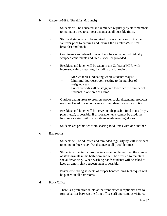# b. Cafeteria/MPR (Breakfast & Lunch)

- Students will be educated and reminded regularly by staff members to maintain three to six feet distance at all possible times.
- Staff and students will be required to wash hands or utilize hand sanitizer prior to entering and leaving the Cafeteria/MPR for breakfast and lunch.
- Condiments and utensil bins will not be available. Individually wrapped condiments and utensils will be provided.
- Breakfast and lunch will be eaten in the Cafeteria/MPR, with increased safety measures, including the following:
	- Marked tables indicating where students may sit
	- Limit multipurpose room seating to the number of assigned seats
	- Lunch periods will be staggered to reduce the number of students in one area at a time
- Outdoor eating areas to promote proper social distancing protocols may be offered if a school can accommodate for such an option.
- Breakfast and lunch will be served on disposable food items (trays, plates, etc.), if possible. If disposable items cannot be used, the food service staff will collect items while wearing gloves.
- Students are prohibited from sharing food items with one another.

# c. Bathrooms

- Students will be educated and reminded regularly by staff members to maintain three to six feet distance at all possible times.
- Students will enter bathrooms in a group no larger than the number of stalls/urinals in the bathroom and will be directed to maintain social distancing. When washing hands students will be asked to keep an empty sink between them if possible.
- Posters reminding students of proper handwashing techniques will be placed in all bathrooms.

# d. Front Office

• There is a protective shield at the front office receptionist area to form a barrier between the front office staff and campus visitors.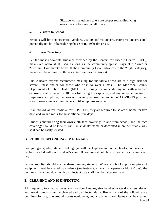Signage will be utilized to ensure proper social distancing measures are followed at all times.

# **5. Visitors to School**

Schools will limit nonessential vendors, visitors and volunteers. Parent volunteers could potentially not be utilized during the COVID-19 health crisis.

# **6. Face Coverings**

Per the most up-to-date guidance provided by the Centers for Disease Control (CDC), masks are optional at SVA as long as the community spread stays at a "low" or "medium" Community Level. If the Community Level advances to the "high" category, masks will be required at the respective campus location(s).

Public health experts recommend masking for individuals who are at a high risk for severe illness and/or for those who wish to wear a mask. The Maricopa County Department of Public Health (MCDPH) strongly recommends anyone with a known exposure wear a mask for 10 days following the exposure; and anyone experiencing ill respiratory symptoms, but was not recently exposed and/or is not COVID-19 positive, should wear a mask around others until symptoms subside.

If an individual tests positive for COVID-19, they are required to isolate at home for five days and wear a mask for an additional five days.

Students should bring their own cloth face coverings to and from school, and the face coverings should be labeled with the student's name or decorated in an identifiable way so it can be easily located.

# **D. STUDENT BELONGINGS/MATERIALS**

For younger grades, student belongings will be kept on individual hooks, in bins or in cubbies labeled with each student's name. Belongings should be sent home for cleaning each day.

School supplies should not be shared among students. Where a school supply or piece of equipment must be shared by students (for instance, a pencil sharpener or blocks/toys), the item must be wiped down with disinfectant by a staff member after each use.

# **E. CLEANING AND DISINFECTING**

All frequently touched surfaces, such as door handles, sink handles, water dispensers, desks, and learning tools must be cleaned and disinfected daily. If/when any of the following are permitted for use, playground, sports equipment, and any other shared items must be cleaned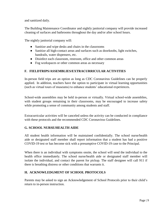and sanitized daily.

The Building Maintenance Coordinator and nightly janitorial company will provide increased cleaning of surfaces and bathrooms throughout the day and/or after school hours.

The nightly janitorial company will:

- Sanitize and wipe desks and chairs in the classrooms
- Sanitize all high-contact areas and surfaces such as doorknobs, light switches, handrails, water dispensers, etc.
- Disinfect each classroom, restroom, office and other common areas
- Fog workspaces or other common areas as necessary

# **F. FIELDTRIPS/ASSEMBLIES/EXTRACURRICULAR ACTIVITIES**

In-person field trips are an option as long as CDC Coronavirus Guidelines can be properly applied. In addition, teachers have the option to participate in virtual learning opportunities (such as virtual tours of museums) to enhance students' educational experiences.

School-wide assemblies may be held in-person or virtually. Virtual school-wide assemblies, with student groups remaining in their classrooms, may be encouraged to increase safety while promoting a sense of community among students and staff.

Extracurricular activities will be canceled unless the activity can be conducted in compliance with these protocols and the recommended CDC Coronavirus Guidelines.

# **G. SCHOOL NURSE/HEALTH AIDE**

All student health information will be maintained confidentially. The school nurse/health aide or designated staff member shall report information that a student has had a positive COVID-19 test or has become sick with a presumptive COVID-19 case to the Principal.

When there is an individual with symptoms onsite, the school will send the individual to the health office immediately. The school nurse/health aide or designated staff member will isolate the individual, and contact the parent for pickup. The staff designee will call 911 if there is breathing distress or other conditions that warrants it.

# **H. ACKNOWLEDGMENT OF SCHOOL PROTOCOLS**

Parents may be asked to sign an Acknowledgement of School Protocols prior to their child's return to in-person instruction.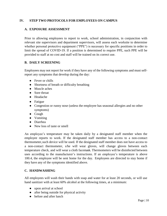# **IV. STEP TWO PROTOCOLS FOR EMPLOYEES ON CAMPUS**

## **A. EXPOSURE ASSESSMENT**

Prior to allowing employees to report to work, school administration, in conjunction with relevant site supervisors and department supervisors, will assess each worksite to determine whether personal protective equipment ("PPE") is necessary for specific positions in order to limit the spread of COVID-19. If a position is determined to require PPE, such PPE will be provided to staff at no cost and staff will be trained on its correct use.

## **B. DAILY SCREENING**

Employees may not report for work if they have any of the following symptoms and must selfreport any symptoms that develop during the day:

- Fever or chills
- Shortness of breath or difficulty breathing
- Muscle aches
- Sore throat
- Headache
- Fatigue
- Congestion or runny nose (unless the employee has seasonal allergies and no other symptoms)
- Cough
- Vomiting
- Diarrhea
- New loss of taste or smell

An employee's temperature may be taken daily by a designated staff member when the employee reports to work. If the designated staff member has access to a non-contact thermometer,such device will be used. If the designated staff member does not have access to a non-contact thermometer, s/he will wear gloves, will change gloves between each temperature check, and will wear a cloth facemask. Thermometers will be disinfected between uses according to the manufacturer's instructions. If an employee's temperature is above 100.4, the employee will be sent home for the day. Employees are directed to stay home if they have any of the symptoms identified above.

### **C. HANDWASHING**

All employees will wash their hands with soap and water for at least 20 seconds, or will use hand sanitizer with at least 60% alcohol at the following times, at a minimum:

- upon arrival at school
- after being outside for physical activity
- before and after lunch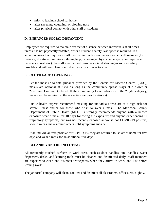- prior to leaving school for home
- after sneezing, coughing, or blowing nose
- after physical contact with other staff or students

# **D. ENHANCED SOCIAL DISTANCING**

Employees are required to maintain six feet of distance between individuals at all times unless it is not physically possible, or for a student's safety, less space is required. If a situation arises that requires a staff member to touch a student or another staff member (for instance, if a student requires toileting help, is having a physical emergency, or requires a two-person restraint), the staff member will resume social distancing as soon as safely possible and will wash hands and disinfect any surfaces touched.

# **E. CLOTH FACE COVERINGS**

Per the most up-to-date guidance provided by the Centers for Disease Control (CDC), masks are optional at SVA as long as the community spread stays at a "low" or "medium" Community Level. If the Community Level advances to the "high" category, masks will be required at the respective campus location(s).

Public health experts recommend masking for individuals who are at a high risk for severe illness and/or for those who wish to wear a mask. The Maricopa County Department of Public Health (MCDPH) strongly recommends anyone with a known exposure wear a mask for 10 days following the exposure; and anyone experiencing ill respiratory symptoms, but was not recently exposed and/or is not COVID-19 positive, should wear a mask around others until symptoms subside.

If an individual tests positive for COVID-19, they are required to isolate at home for five days and wear a mask for an additional five days.

# **F. CLEANING AND DISINFECTING**

All frequently touched surfaces in work areas, such as door handles, sink handles, water dispensers, desks, and learning tools must be cleaned and disinfected daily. Staff members are expected to clean and disinfect workspaces when they arrive to work and just before leaving work.

The janitorial company will clean, sanitize and disinfect all classrooms, offices, etc. nightly.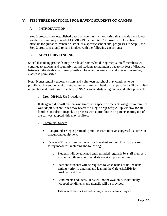# **V. STEP THREE PROTOCOLS FOR HAVING STUDENTS ON CAMPUS**

# **A. INTRODUCTION**

Step 3 protocols are established based on community monitoring that reveals even lower levels of community spread of COVID-19 than in Step 2. Consult with local health officials for guidance. When a district, or a specific school site, progresses to Step 3, the Step 2 protocols should remain in place with the following exceptions:

## **B. SOCIAL DISTANCING**

Social distancing protocols may be relaxed somewhat during Step 3. Staff members will continue to educate and regularly remind students to maintain three to six feet of distance between individuals at all times possible. However, increased social interaction among classes is permissible.

Note: Nonessential vendors, visitors and volunteers at school may continue to be prohibited. If vendors, visitors and volunteers are permitted on campus, they will be limited in number and must agree to adhere to SVA's social distancing, mask and other protocols.

## 1. Drop-Off/Pick-Up Procedures

If staggered drop-off and pick-up times with specific time slots assigned to families was adopted, school sites may revert to a single drop-off/pick-up window for all families. If a drop-off/pick-up process with a prohibition on parents getting out of the car was adopted, this may be lifted.

### 2. Communal Spaces

- Playgrounds: Step 3 protocols permit classes to have staggered use time on playground equipment.
- Cafeteria/MPR will remain open for breakfast and lunch, with increased safety measures, including the following:
	- o Students will be educated and reminded regularly by staff members to maintain three to six feet distance at all possible times.
	- o Staff and students will be required to wash hands or utilize hand sanitizer prior to entering and leaving the Cafeteria/MPR for breakfast and lunch.
	- o Condiments and utensil bins will not be available. Individually wrapped condiments and utensils will be provided.
	- o Tables will be marked indicating where students may sit